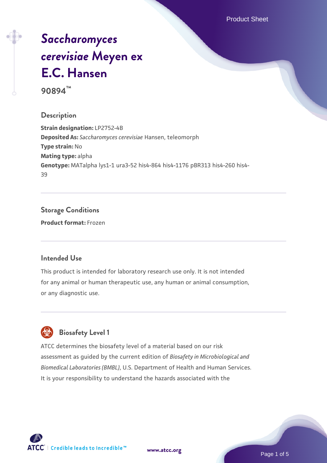Product Sheet

# *[Saccharomyces](https://www.atcc.org/products/90894) [cerevisiae](https://www.atcc.org/products/90894)* **[Meyen ex](https://www.atcc.org/products/90894) [E.C. Hansen](https://www.atcc.org/products/90894)**

**90894™**

#### **Description**

**Strain designation:** LP2752-4B **Deposited As:** *Saccharomyces cerevisiae* Hansen, teleomorph **Type strain:** No **Mating type:** alpha **Genotype:** MATalpha lys1-1 ura3-52 his4-864 his4-1176 pBR313 his4-260 his4- 39

### **Storage Conditions**

**Product format:** Frozen

#### **Intended Use**

This product is intended for laboratory research use only. It is not intended for any animal or human therapeutic use, any human or animal consumption, or any diagnostic use.



#### **Biosafety Level 1**

ATCC determines the biosafety level of a material based on our risk assessment as guided by the current edition of *Biosafety in Microbiological and Biomedical Laboratories (BMBL)*, U.S. Department of Health and Human Services. It is your responsibility to understand the hazards associated with the

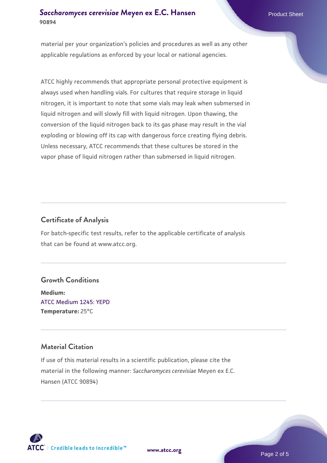#### **[Saccharomyces cerevisiae](https://www.atcc.org/products/90894)** [Meyen ex E.C. Hansen](https://www.atcc.org/products/90894) **90894**

material per your organization's policies and procedures as well as any other applicable regulations as enforced by your local or national agencies.

ATCC highly recommends that appropriate personal protective equipment is always used when handling vials. For cultures that require storage in liquid nitrogen, it is important to note that some vials may leak when submersed in liquid nitrogen and will slowly fill with liquid nitrogen. Upon thawing, the conversion of the liquid nitrogen back to its gas phase may result in the vial exploding or blowing off its cap with dangerous force creating flying debris. Unless necessary, ATCC recommends that these cultures be stored in the vapor phase of liquid nitrogen rather than submersed in liquid nitrogen.

#### **Certificate of Analysis**

For batch-specific test results, refer to the applicable certificate of analysis that can be found at www.atcc.org.

#### **Growth Conditions**

**Medium:**  [ATCC Medium 1245: YEPD](https://www.atcc.org/-/media/product-assets/documents/microbial-media-formulations/1/2/4/5/atcc-medium-1245.pdf?rev=705ca55d1b6f490a808a965d5c072196) **Temperature:** 25°C

#### **Material Citation**

If use of this material results in a scientific publication, please cite the material in the following manner: *Saccharomyces cerevisiae* Meyen ex E.C. Hansen (ATCC 90894)



**[www.atcc.org](http://www.atcc.org)**

Page 2 of 5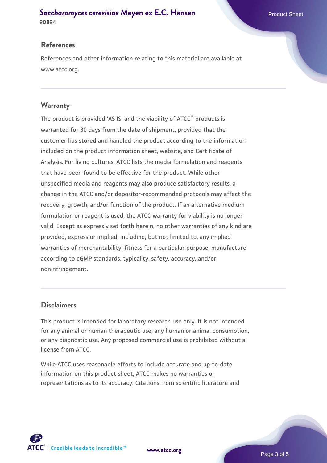#### **[Saccharomyces cerevisiae](https://www.atcc.org/products/90894)** [Meyen ex E.C. Hansen](https://www.atcc.org/products/90894) **90894**

#### **References**

References and other information relating to this material are available at www.atcc.org.

#### **Warranty**

The product is provided 'AS IS' and the viability of ATCC® products is warranted for 30 days from the date of shipment, provided that the customer has stored and handled the product according to the information included on the product information sheet, website, and Certificate of Analysis. For living cultures, ATCC lists the media formulation and reagents that have been found to be effective for the product. While other unspecified media and reagents may also produce satisfactory results, a change in the ATCC and/or depositor-recommended protocols may affect the recovery, growth, and/or function of the product. If an alternative medium formulation or reagent is used, the ATCC warranty for viability is no longer valid. Except as expressly set forth herein, no other warranties of any kind are provided, express or implied, including, but not limited to, any implied warranties of merchantability, fitness for a particular purpose, manufacture according to cGMP standards, typicality, safety, accuracy, and/or noninfringement.

#### **Disclaimers**

This product is intended for laboratory research use only. It is not intended for any animal or human therapeutic use, any human or animal consumption, or any diagnostic use. Any proposed commercial use is prohibited without a license from ATCC.

While ATCC uses reasonable efforts to include accurate and up-to-date information on this product sheet, ATCC makes no warranties or representations as to its accuracy. Citations from scientific literature and



**[www.atcc.org](http://www.atcc.org)**

Page 3 of 5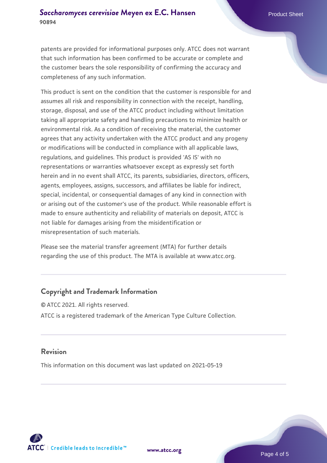patents are provided for informational purposes only. ATCC does not warrant that such information has been confirmed to be accurate or complete and the customer bears the sole responsibility of confirming the accuracy and completeness of any such information.

This product is sent on the condition that the customer is responsible for and assumes all risk and responsibility in connection with the receipt, handling, storage, disposal, and use of the ATCC product including without limitation taking all appropriate safety and handling precautions to minimize health or environmental risk. As a condition of receiving the material, the customer agrees that any activity undertaken with the ATCC product and any progeny or modifications will be conducted in compliance with all applicable laws, regulations, and guidelines. This product is provided 'AS IS' with no representations or warranties whatsoever except as expressly set forth herein and in no event shall ATCC, its parents, subsidiaries, directors, officers, agents, employees, assigns, successors, and affiliates be liable for indirect, special, incidental, or consequential damages of any kind in connection with or arising out of the customer's use of the product. While reasonable effort is made to ensure authenticity and reliability of materials on deposit, ATCC is not liable for damages arising from the misidentification or misrepresentation of such materials.

Please see the material transfer agreement (MTA) for further details regarding the use of this product. The MTA is available at www.atcc.org.

#### **Copyright and Trademark Information**

© ATCC 2021. All rights reserved. ATCC is a registered trademark of the American Type Culture Collection.

#### **Revision**

This information on this document was last updated on 2021-05-19



**[www.atcc.org](http://www.atcc.org)**